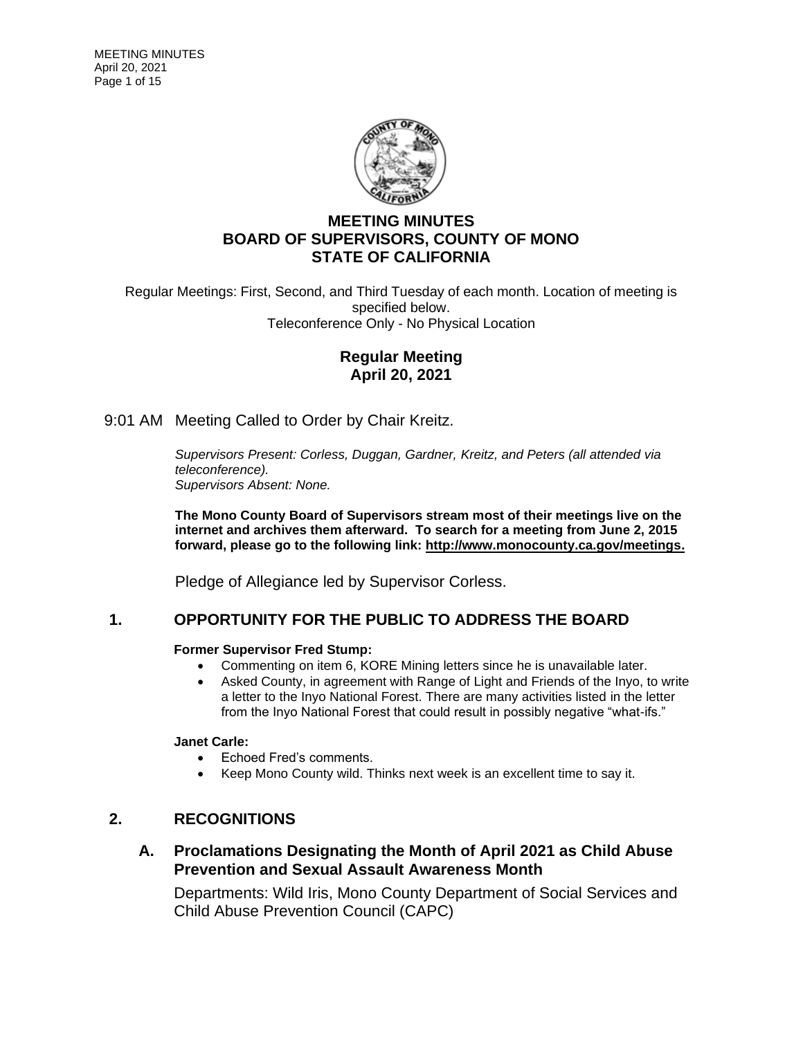

# **MEETING MINUTES BOARD OF SUPERVISORS, COUNTY OF MONO STATE OF CALIFORNIA**

Regular Meetings: First, Second, and Third Tuesday of each month. Location of meeting is specified below. Teleconference Only - No Physical Location

# **Regular Meeting April 20, 2021**

9:01 AM Meeting Called to Order by Chair Kreitz.

*Supervisors Present: Corless, Duggan, Gardner, Kreitz, and Peters (all attended via teleconference). Supervisors Absent: None.*

**The Mono County Board of Supervisors stream most of their meetings live on the internet and archives them afterward. To search for a meeting from June 2, 2015 forward, please go to the following link: [http://www.monocounty.ca.gov/meetings.](http://www.monocounty.ca.gov/meetings)**

Pledge of Allegiance led by Supervisor Corless.

# **1. OPPORTUNITY FOR THE PUBLIC TO ADDRESS THE BOARD**

### **Former Supervisor Fred Stump:**

- Commenting on item 6, KORE Mining letters since he is unavailable later.
- Asked County, in agreement with Range of Light and Friends of the Invo, to write a letter to the Inyo National Forest. There are many activities listed in the letter from the Inyo National Forest that could result in possibly negative "what-ifs."

### **Janet Carle:**

- Echoed Fred's comments.
- Keep Mono County wild. Thinks next week is an excellent time to say it.

# **2. RECOGNITIONS**

# **A. Proclamations Designating the Month of April 2021 as Child Abuse Prevention and Sexual Assault Awareness Month**

Departments: Wild Iris, Mono County Department of Social Services and Child Abuse Prevention Council (CAPC)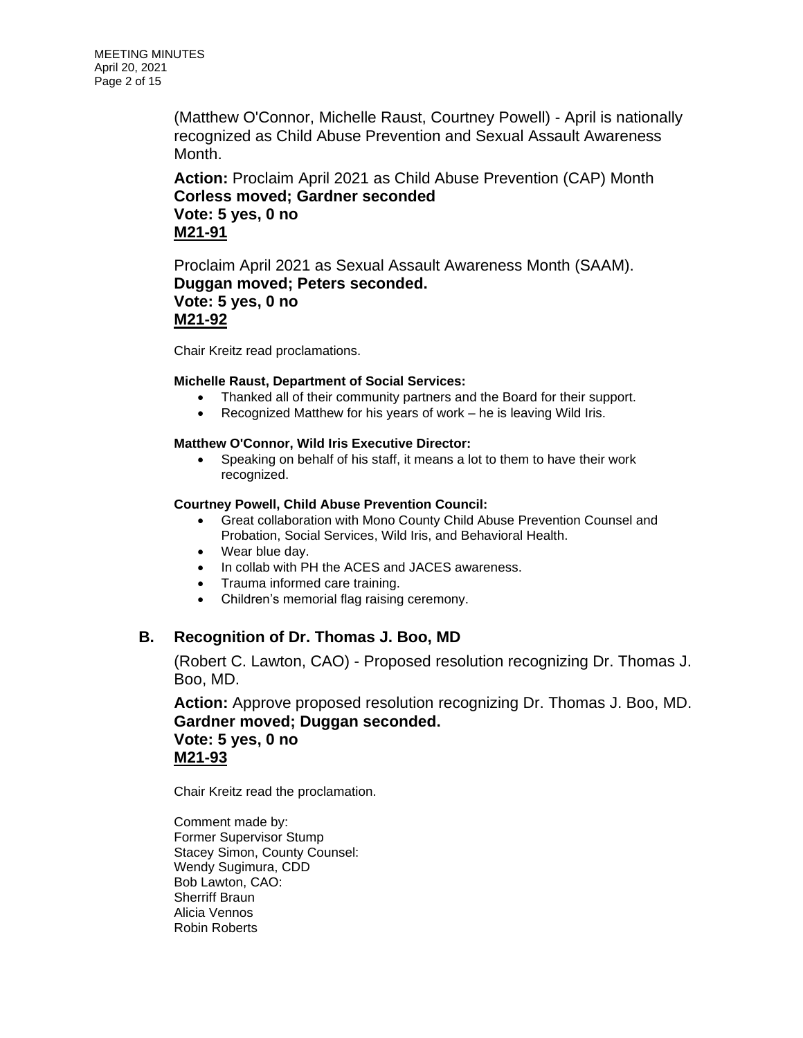(Matthew O'Connor, Michelle Raust, Courtney Powell) - April is nationally recognized as Child Abuse Prevention and Sexual Assault Awareness Month.

**Action:** Proclaim April 2021 as Child Abuse Prevention (CAP) Month **Corless moved; Gardner seconded Vote: 5 yes, 0 no M21-91**

Proclaim April 2021 as Sexual Assault Awareness Month (SAAM). **Duggan moved; Peters seconded. Vote: 5 yes, 0 no M21-92**

Chair Kreitz read proclamations.

### **Michelle Raust, Department of Social Services:**

- Thanked all of their community partners and the Board for their support.
- Recognized Matthew for his years of work he is leaving Wild Iris.

#### **Matthew O'Connor, Wild Iris Executive Director:**

• Speaking on behalf of his staff, it means a lot to them to have their work recognized.

#### **Courtney Powell, Child Abuse Prevention Council:**

- Great collaboration with Mono County Child Abuse Prevention Counsel and Probation, Social Services, Wild Iris, and Behavioral Health.
- Wear blue day.
- In collab with PH the ACES and JACES awareness.
- Trauma informed care training.
- Children's memorial flag raising ceremony.

### **B. Recognition of Dr. Thomas J. Boo, MD**

(Robert C. Lawton, CAO) - Proposed resolution recognizing Dr. Thomas J. Boo, MD.

**Action:** Approve proposed resolution recognizing Dr. Thomas J. Boo, MD. **Gardner moved; Duggan seconded. Vote: 5 yes, 0 no M21-93**

Chair Kreitz read the proclamation.

Comment made by: Former Supervisor Stump Stacey Simon, County Counsel: Wendy Sugimura, CDD Bob Lawton, CAO: Sherriff Braun Alicia Vennos Robin Roberts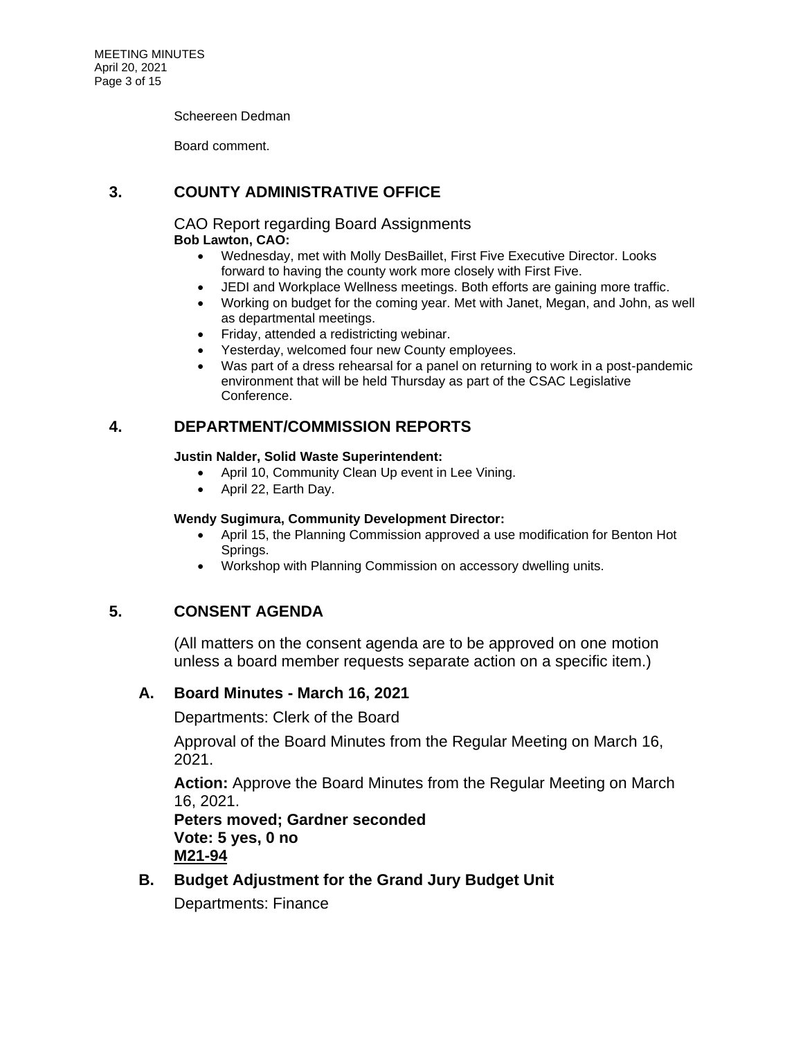Scheereen Dedman

Board comment.

# **3. COUNTY ADMINISTRATIVE OFFICE**

CAO Report regarding Board Assignments **Bob Lawton, CAO:**

- Wednesday, met with Molly DesBaillet, First Five Executive Director. Looks forward to having the county work more closely with First Five.
- JEDI and Workplace Wellness meetings. Both efforts are gaining more traffic.
- Working on budget for the coming year. Met with Janet, Megan, and John, as well as departmental meetings.
- Friday, attended a redistricting webinar.
- Yesterday, welcomed four new County employees.
- Was part of a dress rehearsal for a panel on returning to work in a post-pandemic environment that will be held Thursday as part of the CSAC Legislative Conference.

# **4. DEPARTMENT/COMMISSION REPORTS**

### **Justin Nalder, Solid Waste Superintendent:**

- April 10, Community Clean Up event in Lee Vining.
- April 22, Earth Day.

### **Wendy Sugimura, Community Development Director:**

- April 15, the Planning Commission approved a use modification for Benton Hot Springs.
- Workshop with Planning Commission on accessory dwelling units.

# **5. CONSENT AGENDA**

(All matters on the consent agenda are to be approved on one motion unless a board member requests separate action on a specific item.)

# **A. Board Minutes - March 16, 2021**

Departments: Clerk of the Board

Approval of the Board Minutes from the Regular Meeting on March 16, 2021.

**Action:** Approve the Board Minutes from the Regular Meeting on March 16, 2021.

**Peters moved; Gardner seconded Vote: 5 yes, 0 no M21-94**

**B. Budget Adjustment for the Grand Jury Budget Unit**

Departments: Finance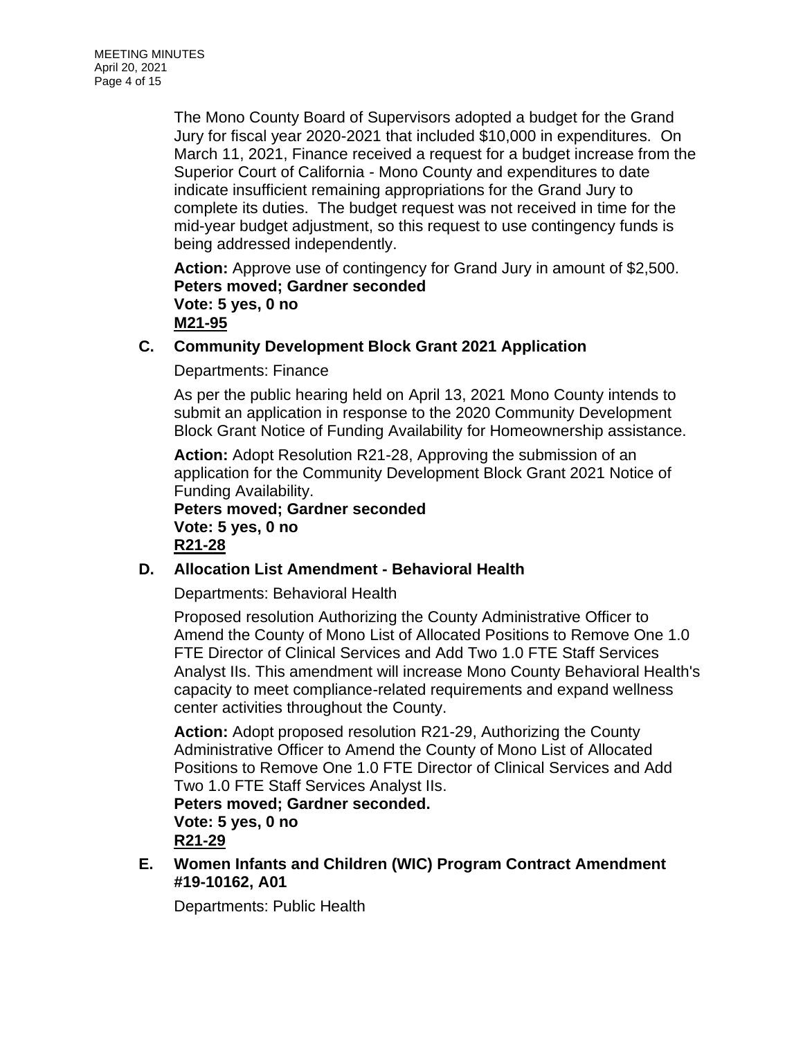The Mono County Board of Supervisors adopted a budget for the Grand Jury for fiscal year 2020-2021 that included \$10,000 in expenditures. On March 11, 2021, Finance received a request for a budget increase from the Superior Court of California - Mono County and expenditures to date indicate insufficient remaining appropriations for the Grand Jury to complete its duties. The budget request was not received in time for the mid-year budget adjustment, so this request to use contingency funds is being addressed independently.

**Action:** Approve use of contingency for Grand Jury in amount of \$2,500. **Peters moved; Gardner seconded Vote: 5 yes, 0 no M21-95**

# **C. Community Development Block Grant 2021 Application**

Departments: Finance

As per the public hearing held on April 13, 2021 Mono County intends to submit an application in response to the 2020 Community Development Block Grant Notice of Funding Availability for Homeownership assistance.

**Action:** Adopt Resolution R21-28, Approving the submission of an application for the Community Development Block Grant 2021 Notice of Funding Availability.

**Peters moved; Gardner seconded Vote: 5 yes, 0 no R21-28**

# **D. Allocation List Amendment - Behavioral Health**

Departments: Behavioral Health

Proposed resolution Authorizing the County Administrative Officer to Amend the County of Mono List of Allocated Positions to Remove One 1.0 FTE Director of Clinical Services and Add Two 1.0 FTE Staff Services Analyst IIs. This amendment will increase Mono County Behavioral Health's capacity to meet compliance-related requirements and expand wellness center activities throughout the County.

**Action:** Adopt proposed resolution R21-29, Authorizing the County Administrative Officer to Amend the County of Mono List of Allocated Positions to Remove One 1.0 FTE Director of Clinical Services and Add Two 1.0 FTE Staff Services Analyst IIs.

**Peters moved; Gardner seconded. Vote: 5 yes, 0 no R21-29**

**E. Women Infants and Children (WIC) Program Contract Amendment #19-10162, A01**

Departments: Public Health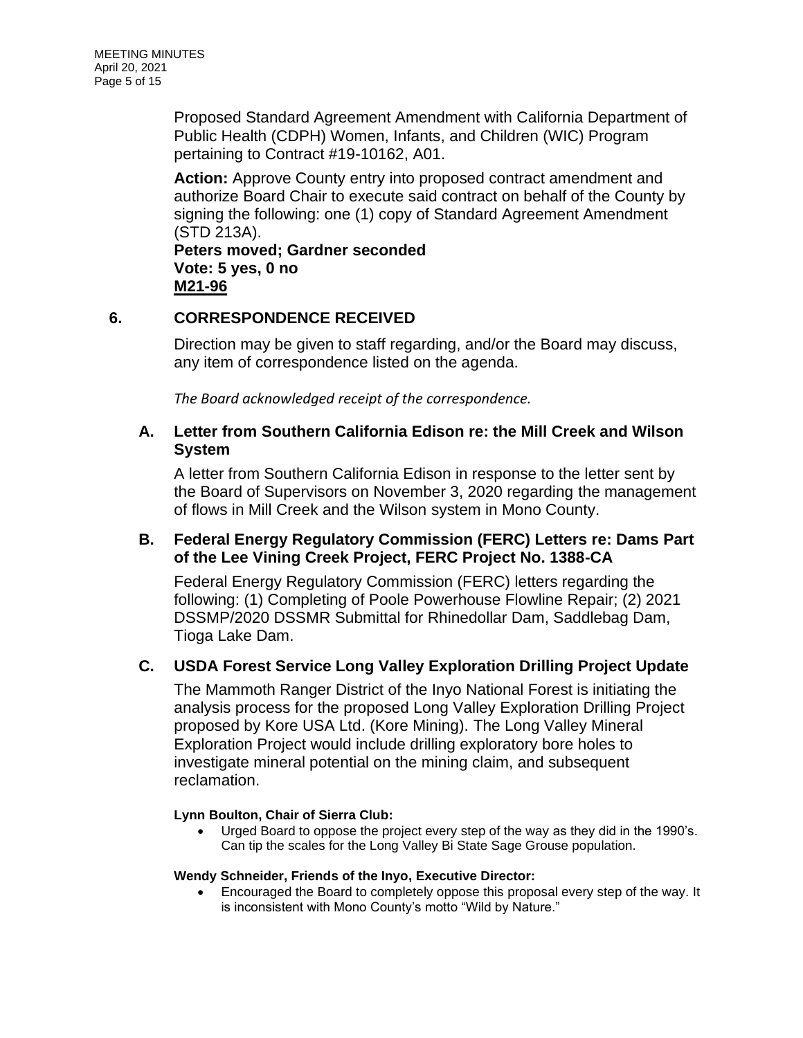Proposed Standard Agreement Amendment with California Department of Public Health (CDPH) Women, Infants, and Children (WIC) Program pertaining to Contract #19-10162, A01.

**Action:** Approve County entry into proposed contract amendment and authorize Board Chair to execute said contract on behalf of the County by signing the following: one (1) copy of Standard Agreement Amendment (STD 213A).

**Peters moved; Gardner seconded Vote: 5 yes, 0 no M21-96**

# **6. CORRESPONDENCE RECEIVED**

Direction may be given to staff regarding, and/or the Board may discuss, any item of correspondence listed on the agenda.

*The Board acknowledged receipt of the correspondence.*

# **A. Letter from Southern California Edison re: the Mill Creek and Wilson System**

A letter from Southern California Edison in response to the letter sent by the Board of Supervisors on November 3, 2020 regarding the management of flows in Mill Creek and the Wilson system in Mono County.

# **B. Federal Energy Regulatory Commission (FERC) Letters re: Dams Part of the Lee Vining Creek Project, FERC Project No. 1388-CA**

Federal Energy Regulatory Commission (FERC) letters regarding the following: (1) Completing of Poole Powerhouse Flowline Repair; (2) 2021 DSSMP/2020 DSSMR Submittal for Rhinedollar Dam, Saddlebag Dam, Tioga Lake Dam.

# **C. USDA Forest Service Long Valley Exploration Drilling Project Update**

The Mammoth Ranger District of the Inyo National Forest is initiating the analysis process for the proposed Long Valley Exploration Drilling Project proposed by Kore USA Ltd. (Kore Mining). The Long Valley Mineral Exploration Project would include drilling exploratory bore holes to investigate mineral potential on the mining claim, and subsequent reclamation.

### **Lynn Boulton, Chair of Sierra Club:**

• Urged Board to oppose the project every step of the way as they did in the 1990's. Can tip the scales for the Long Valley Bi State Sage Grouse population.

### **Wendy Schneider, Friends of the Inyo, Executive Director:**

• Encouraged the Board to completely oppose this proposal every step of the way. It is inconsistent with Mono County's motto "Wild by Nature."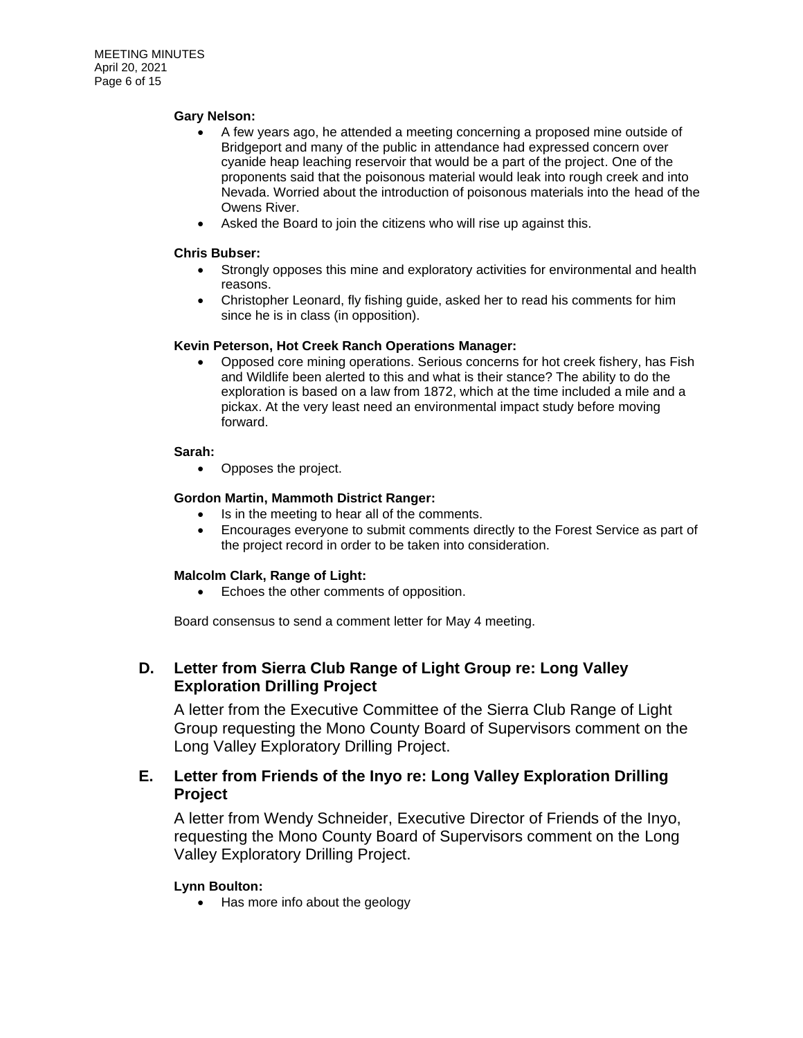#### **Gary Nelson:**

- A few years ago, he attended a meeting concerning a proposed mine outside of Bridgeport and many of the public in attendance had expressed concern over cyanide heap leaching reservoir that would be a part of the project. One of the proponents said that the poisonous material would leak into rough creek and into Nevada. Worried about the introduction of poisonous materials into the head of the Owens River.
- Asked the Board to join the citizens who will rise up against this.

#### **Chris Bubser:**

- Strongly opposes this mine and exploratory activities for environmental and health reasons.
- Christopher Leonard, fly fishing guide, asked her to read his comments for him since he is in class (in opposition).

#### **Kevin Peterson, Hot Creek Ranch Operations Manager:**

• Opposed core mining operations. Serious concerns for hot creek fishery, has Fish and Wildlife been alerted to this and what is their stance? The ability to do the exploration is based on a law from 1872, which at the time included a mile and a pickax. At the very least need an environmental impact study before moving forward.

#### **Sarah:**

• Opposes the project.

#### **Gordon Martin, Mammoth District Ranger:**

- Is in the meeting to hear all of the comments.
- Encourages everyone to submit comments directly to the Forest Service as part of the project record in order to be taken into consideration.

#### **Malcolm Clark, Range of Light:**

• Echoes the other comments of opposition.

Board consensus to send a comment letter for May 4 meeting.

### **D. Letter from Sierra Club Range of Light Group re: Long Valley Exploration Drilling Project**

A letter from the Executive Committee of the Sierra Club Range of Light Group requesting the Mono County Board of Supervisors comment on the Long Valley Exploratory Drilling Project.

### **E. Letter from Friends of the Inyo re: Long Valley Exploration Drilling Project**

A letter from Wendy Schneider, Executive Director of Friends of the Inyo, requesting the Mono County Board of Supervisors comment on the Long Valley Exploratory Drilling Project.

### **Lynn Boulton:**

• Has more info about the geology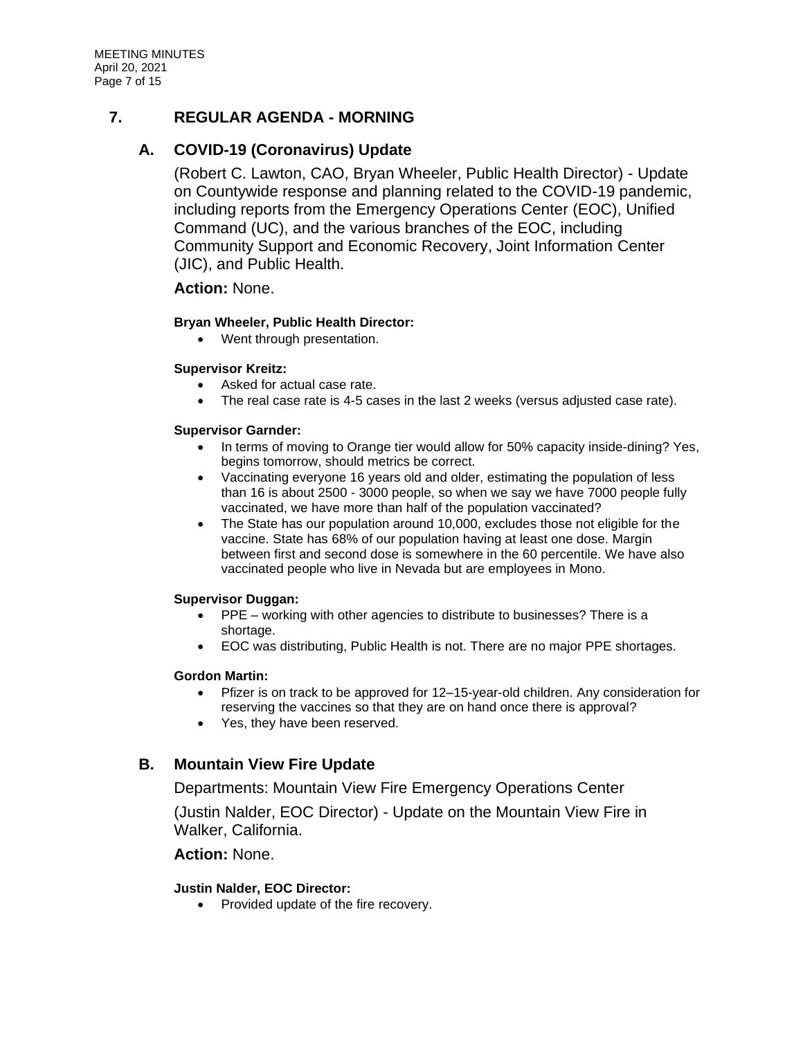# **7. REGULAR AGENDA - MORNING**

# **A. COVID-19 (Coronavirus) Update**

(Robert C. Lawton, CAO, Bryan Wheeler, Public Health Director) - Update on Countywide response and planning related to the COVID-19 pandemic, including reports from the Emergency Operations Center (EOC), Unified Command (UC), and the various branches of the EOC, including Community Support and Economic Recovery, Joint Information Center (JIC), and Public Health.

### **Action:** None.

### **Bryan Wheeler, Public Health Director:**

• Went through presentation.

### **Supervisor Kreitz:**

- Asked for actual case rate.
- The real case rate is 4-5 cases in the last 2 weeks (versus adjusted case rate).

### **Supervisor Garnder:**

- In terms of moving to Orange tier would allow for 50% capacity inside-dining? Yes, begins tomorrow, should metrics be correct.
- Vaccinating everyone 16 years old and older, estimating the population of less than 16 is about 2500 - 3000 people, so when we say we have 7000 people fully vaccinated, we have more than half of the population vaccinated?
- The State has our population around 10,000, excludes those not eligible for the vaccine. State has 68% of our population having at least one dose. Margin between first and second dose is somewhere in the 60 percentile. We have also vaccinated people who live in Nevada but are employees in Mono.

### **Supervisor Duggan:**

- PPE working with other agencies to distribute to businesses? There is a shortage.
- EOC was distributing, Public Health is not. There are no major PPE shortages.

### **Gordon Martin:**

- Pfizer is on track to be approved for 12–15-year-old children. Any consideration for reserving the vaccines so that they are on hand once there is approval?
- Yes, they have been reserved.

# **B. Mountain View Fire Update**

Departments: Mountain View Fire Emergency Operations Center

(Justin Nalder, EOC Director) - Update on the Mountain View Fire in Walker, California.

### **Action:** None.

### **Justin Nalder, EOC Director:**

• Provided update of the fire recovery.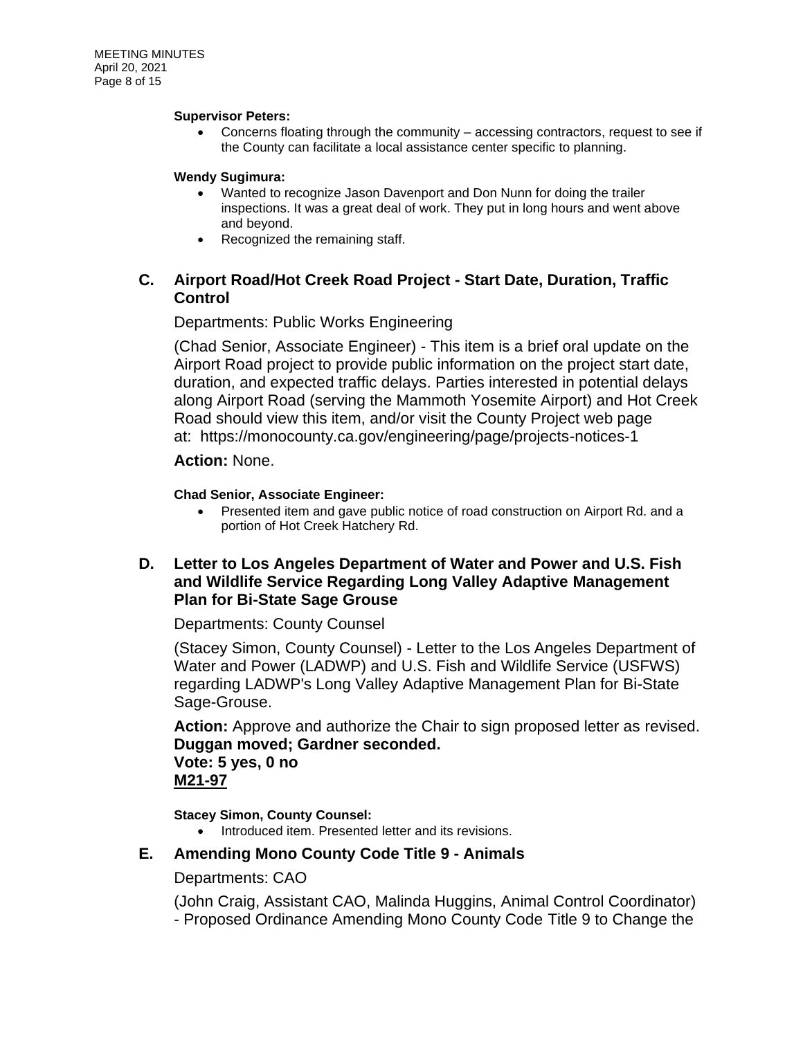#### **Supervisor Peters:**

• Concerns floating through the community – accessing contractors, request to see if the County can facilitate a local assistance center specific to planning.

### **Wendy Sugimura:**

- Wanted to recognize Jason Davenport and Don Nunn for doing the trailer inspections. It was a great deal of work. They put in long hours and went above and beyond.
- Recognized the remaining staff.

# **C. Airport Road/Hot Creek Road Project - Start Date, Duration, Traffic Control**

### Departments: Public Works Engineering

(Chad Senior, Associate Engineer) - This item is a brief oral update on the Airport Road project to provide public information on the project start date, duration, and expected traffic delays. Parties interested in potential delays along Airport Road (serving the Mammoth Yosemite Airport) and Hot Creek Road should view this item, and/or visit the County Project web page at: https://monocounty.ca.gov/engineering/page/projects-notices-1

### **Action:** None.

### **Chad Senior, Associate Engineer:**

• Presented item and gave public notice of road construction on Airport Rd. and a portion of Hot Creek Hatchery Rd.

## **D. Letter to Los Angeles Department of Water and Power and U.S. Fish and Wildlife Service Regarding Long Valley Adaptive Management Plan for Bi-State Sage Grouse**

Departments: County Counsel

(Stacey Simon, County Counsel) - Letter to the Los Angeles Department of Water and Power (LADWP) and U.S. Fish and Wildlife Service (USFWS) regarding LADWP's Long Valley Adaptive Management Plan for Bi-State Sage-Grouse.

**Action:** Approve and authorize the Chair to sign proposed letter as revised. **Duggan moved; Gardner seconded. Vote: 5 yes, 0 no M21-97**

**Stacey Simon, County Counsel:**

• Introduced item. Presented letter and its revisions.

# **E. Amending Mono County Code Title 9 - Animals**

### Departments: CAO

(John Craig, Assistant CAO, Malinda Huggins, Animal Control Coordinator) - Proposed Ordinance Amending Mono County Code Title 9 to Change the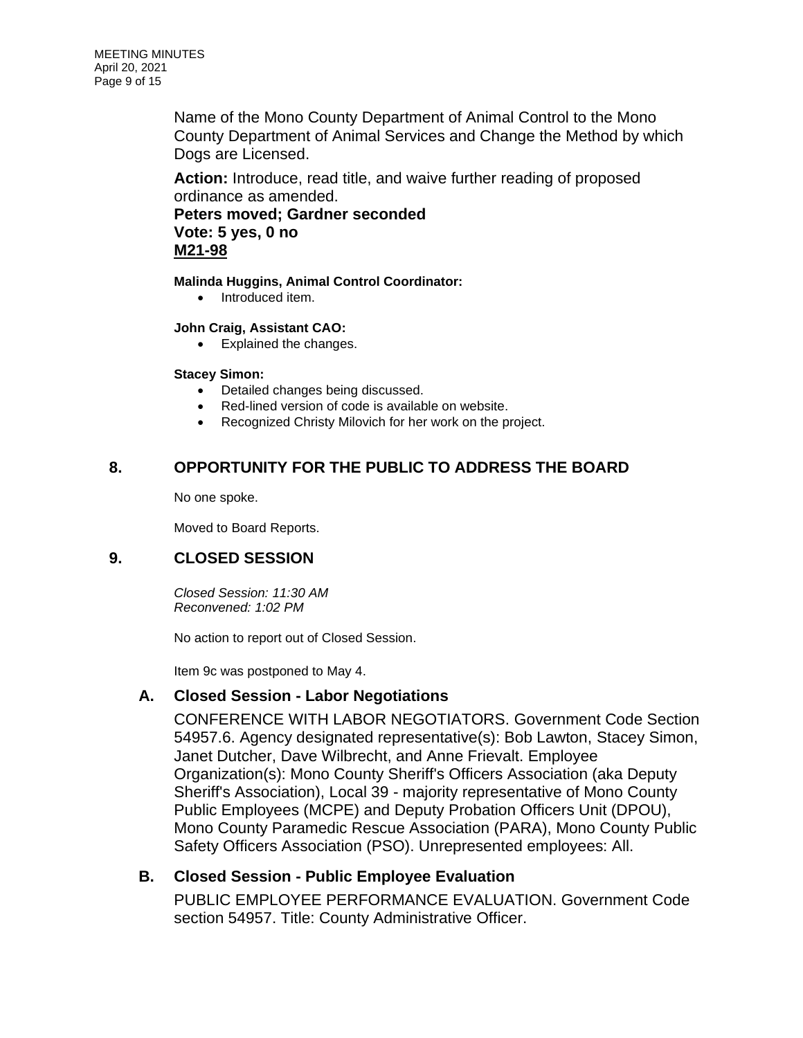Name of the Mono County Department of Animal Control to the Mono County Department of Animal Services and Change the Method by which Dogs are Licensed.

**Action:** Introduce, read title, and waive further reading of proposed ordinance as amended.

**Peters moved; Gardner seconded Vote: 5 yes, 0 no M21-98**

**Malinda Huggins, Animal Control Coordinator:**

• Introduced item.

### **John Craig, Assistant CAO:**

• Explained the changes.

### **Stacey Simon:**

- Detailed changes being discussed.
- Red-lined version of code is available on website.
- Recognized Christy Milovich for her work on the project.

# **8. OPPORTUNITY FOR THE PUBLIC TO ADDRESS THE BOARD**

No one spoke.

Moved to Board Reports.

# **9. CLOSED SESSION**

*Closed Session: 11:30 AM Reconvened: 1:02 PM*

No action to report out of Closed Session.

Item 9c was postponed to May 4.

# **A. Closed Session - Labor Negotiations**

CONFERENCE WITH LABOR NEGOTIATORS. Government Code Section 54957.6. Agency designated representative(s): Bob Lawton, Stacey Simon, Janet Dutcher, Dave Wilbrecht, and Anne Frievalt. Employee Organization(s): Mono County Sheriff's Officers Association (aka Deputy Sheriff's Association), Local 39 - majority representative of Mono County Public Employees (MCPE) and Deputy Probation Officers Unit (DPOU), Mono County Paramedic Rescue Association (PARA), Mono County Public Safety Officers Association (PSO). Unrepresented employees: All.

# **B. Closed Session - Public Employee Evaluation**

PUBLIC EMPLOYEE PERFORMANCE EVALUATION. Government Code section 54957. Title: County Administrative Officer.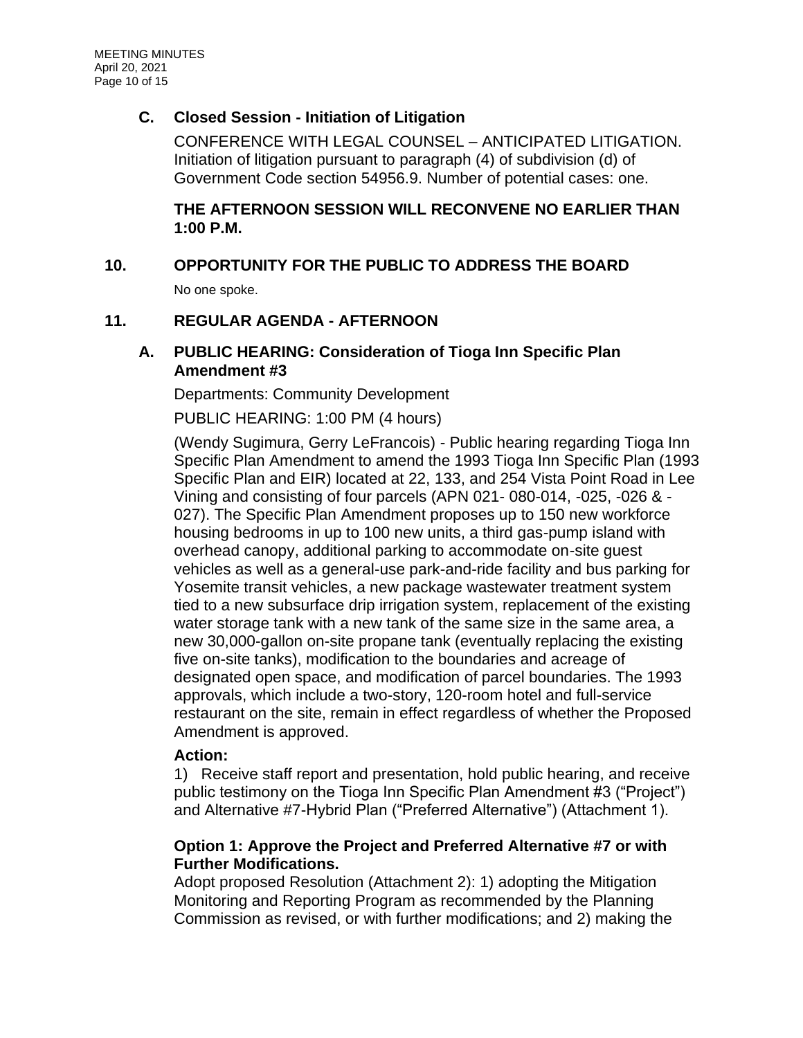# **C. Closed Session - Initiation of Litigation**

CONFERENCE WITH LEGAL COUNSEL – ANTICIPATED LITIGATION. Initiation of litigation pursuant to paragraph (4) of subdivision (d) of Government Code section 54956.9. Number of potential cases: one.

# **THE AFTERNOON SESSION WILL RECONVENE NO EARLIER THAN 1:00 P.M.**

# **10. OPPORTUNITY FOR THE PUBLIC TO ADDRESS THE BOARD**

No one spoke.

# **11. REGULAR AGENDA - AFTERNOON**

## **A. PUBLIC HEARING: Consideration of Tioga Inn Specific Plan Amendment #3**

Departments: Community Development

PUBLIC HEARING: 1:00 PM (4 hours)

(Wendy Sugimura, Gerry LeFrancois) - Public hearing regarding Tioga Inn Specific Plan Amendment to amend the 1993 Tioga Inn Specific Plan (1993 Specific Plan and EIR) located at 22, 133, and 254 Vista Point Road in Lee Vining and consisting of four parcels (APN 021- 080-014, -025, -026 & - 027). The Specific Plan Amendment proposes up to 150 new workforce housing bedrooms in up to 100 new units, a third gas-pump island with overhead canopy, additional parking to accommodate on-site guest vehicles as well as a general-use park-and-ride facility and bus parking for Yosemite transit vehicles, a new package wastewater treatment system tied to a new subsurface drip irrigation system, replacement of the existing water storage tank with a new tank of the same size in the same area, a new 30,000-gallon on-site propane tank (eventually replacing the existing five on-site tanks), modification to the boundaries and acreage of designated open space, and modification of parcel boundaries. The 1993 approvals, which include a two-story, 120-room hotel and full-service restaurant on the site, remain in effect regardless of whether the Proposed Amendment is approved.

# **Action:**

1) Receive staff report and presentation, hold public hearing, and receive public testimony on the Tioga Inn Specific Plan Amendment #3 ("Project") and Alternative #7-Hybrid Plan ("Preferred Alternative") (Attachment 1).

# **Option 1: Approve the Project and Preferred Alternative #7 or with Further Modifications.**

Adopt proposed Resolution (Attachment 2): 1) adopting the Mitigation Monitoring and Reporting Program as recommended by the Planning Commission as revised, or with further modifications; and 2) making the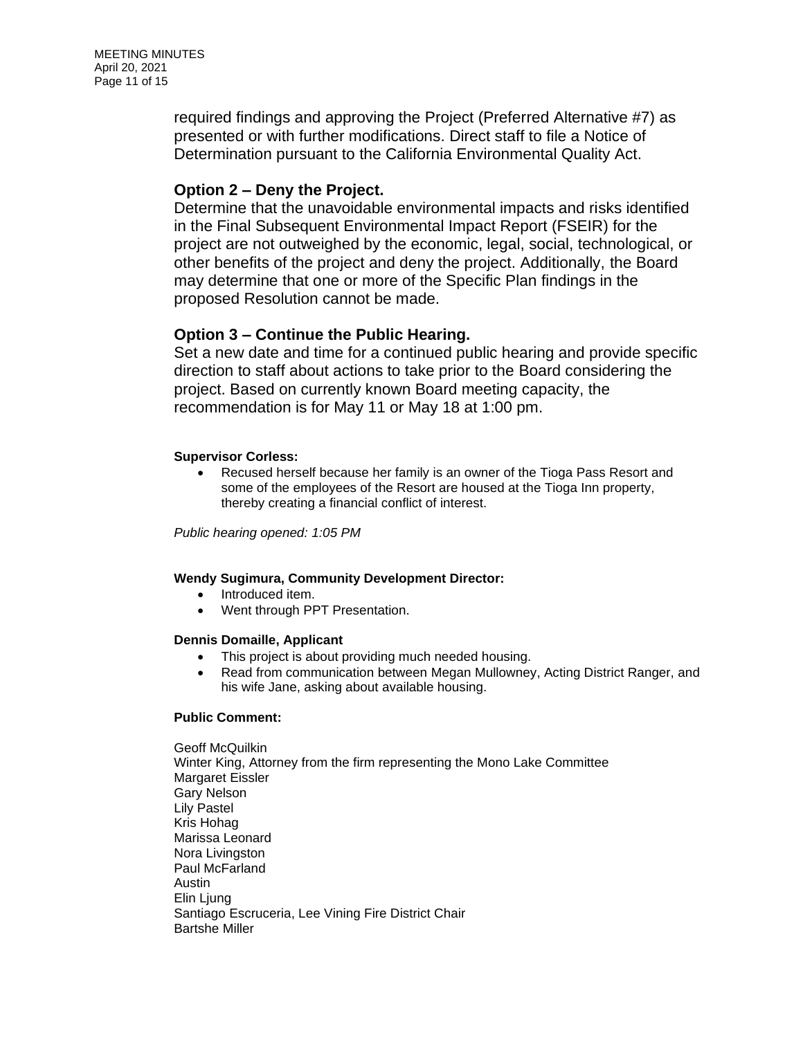MEETING MINUTES April 20, 2021 Page 11 of 15

> required findings and approving the Project (Preferred Alternative #7) as presented or with further modifications. Direct staff to file a Notice of Determination pursuant to the California Environmental Quality Act.

### **Option 2 – Deny the Project.**

Determine that the unavoidable environmental impacts and risks identified in the Final Subsequent Environmental Impact Report (FSEIR) for the project are not outweighed by the economic, legal, social, technological, or other benefits of the project and deny the project. Additionally, the Board may determine that one or more of the Specific Plan findings in the proposed Resolution cannot be made.

### **Option 3 – Continue the Public Hearing.**

Set a new date and time for a continued public hearing and provide specific direction to staff about actions to take prior to the Board considering the project. Based on currently known Board meeting capacity, the recommendation is for May 11 or May 18 at 1:00 pm.

#### **Supervisor Corless:**

• Recused herself because her family is an owner of the Tioga Pass Resort and some of the employees of the Resort are housed at the Tioga Inn property, thereby creating a financial conflict of interest.

*Public hearing opened: 1:05 PM* 

### **Wendy Sugimura, Community Development Director:**

- Introduced item.
- Went through PPT Presentation.

#### **Dennis Domaille, Applicant**

- This project is about providing much needed housing.
- Read from communication between Megan Mullowney, Acting District Ranger, and his wife Jane, asking about available housing.

### **Public Comment:**

Geoff McQuilkin Winter King, Attorney from the firm representing the Mono Lake Committee Margaret Eissler Gary Nelson Lily Pastel Kris Hohag Marissa Leonard Nora Livingston Paul McFarland Austin Elin Ljung Santiago Escruceria, Lee Vining Fire District Chair Bartshe Miller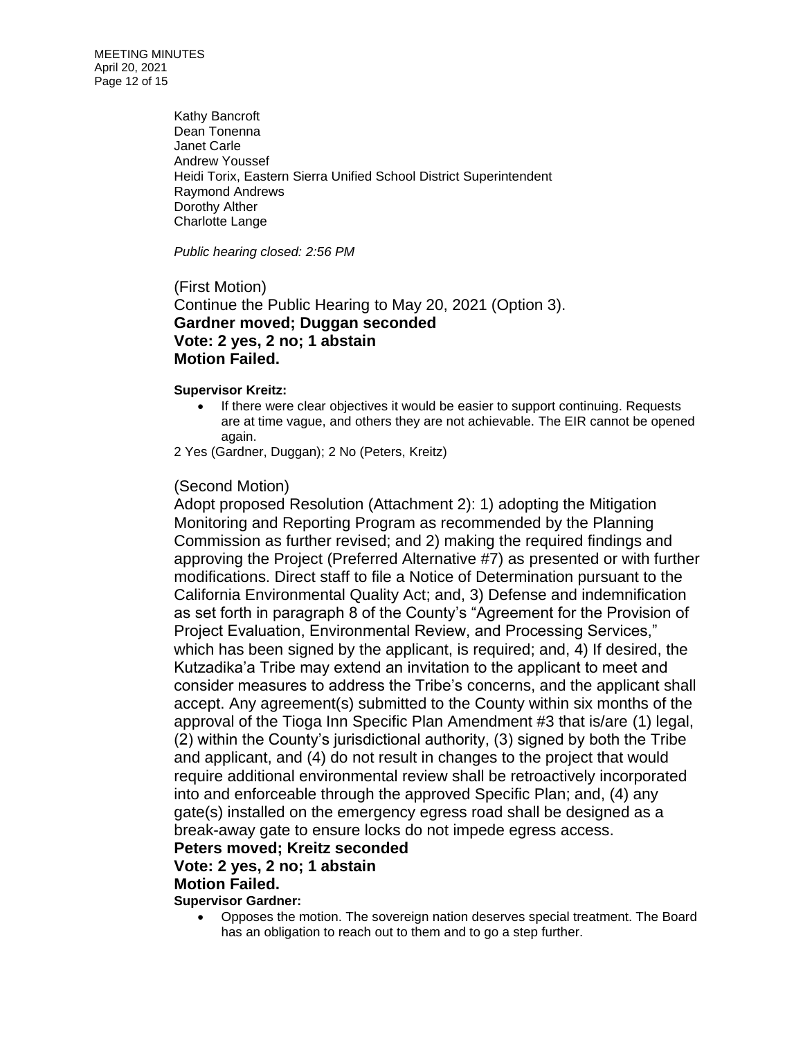MEETING MINUTES April 20, 2021 Page 12 of 15

> Kathy Bancroft Dean Tonenna Janet Carle Andrew Youssef Heidi Torix, Eastern Sierra Unified School District Superintendent Raymond Andrews Dorothy Alther Charlotte Lange

*Public hearing closed: 2:56 PM*

(First Motion) Continue the Public Hearing to May 20, 2021 (Option 3). **Gardner moved; Duggan seconded Vote: 2 yes, 2 no; 1 abstain Motion Failed.**

#### **Supervisor Kreitz:**

- If there were clear objectives it would be easier to support continuing. Requests are at time vague, and others they are not achievable. The EIR cannot be opened again.
- 2 Yes (Gardner, Duggan); 2 No (Peters, Kreitz)

### (Second Motion)

Adopt proposed Resolution (Attachment 2): 1) adopting the Mitigation Monitoring and Reporting Program as recommended by the Planning Commission as further revised; and 2) making the required findings and approving the Project (Preferred Alternative #7) as presented or with further modifications. Direct staff to file a Notice of Determination pursuant to the California Environmental Quality Act; and, 3) Defense and indemnification as set forth in paragraph 8 of the County's "Agreement for the Provision of Project Evaluation, Environmental Review, and Processing Services," which has been signed by the applicant, is required; and, 4) If desired, the Kutzadika'a Tribe may extend an invitation to the applicant to meet and consider measures to address the Tribe's concerns, and the applicant shall accept. Any agreement(s) submitted to the County within six months of the approval of the Tioga Inn Specific Plan Amendment #3 that is/are (1) legal, (2) within the County's jurisdictional authority, (3) signed by both the Tribe and applicant, and (4) do not result in changes to the project that would require additional environmental review shall be retroactively incorporated into and enforceable through the approved Specific Plan; and, (4) any gate(s) installed on the emergency egress road shall be designed as a break-away gate to ensure locks do not impede egress access.

# **Peters moved; Kreitz seconded**

# **Vote: 2 yes, 2 no; 1 abstain**

### **Motion Failed.**

**Supervisor Gardner:**

• Opposes the motion. The sovereign nation deserves special treatment. The Board has an obligation to reach out to them and to go a step further.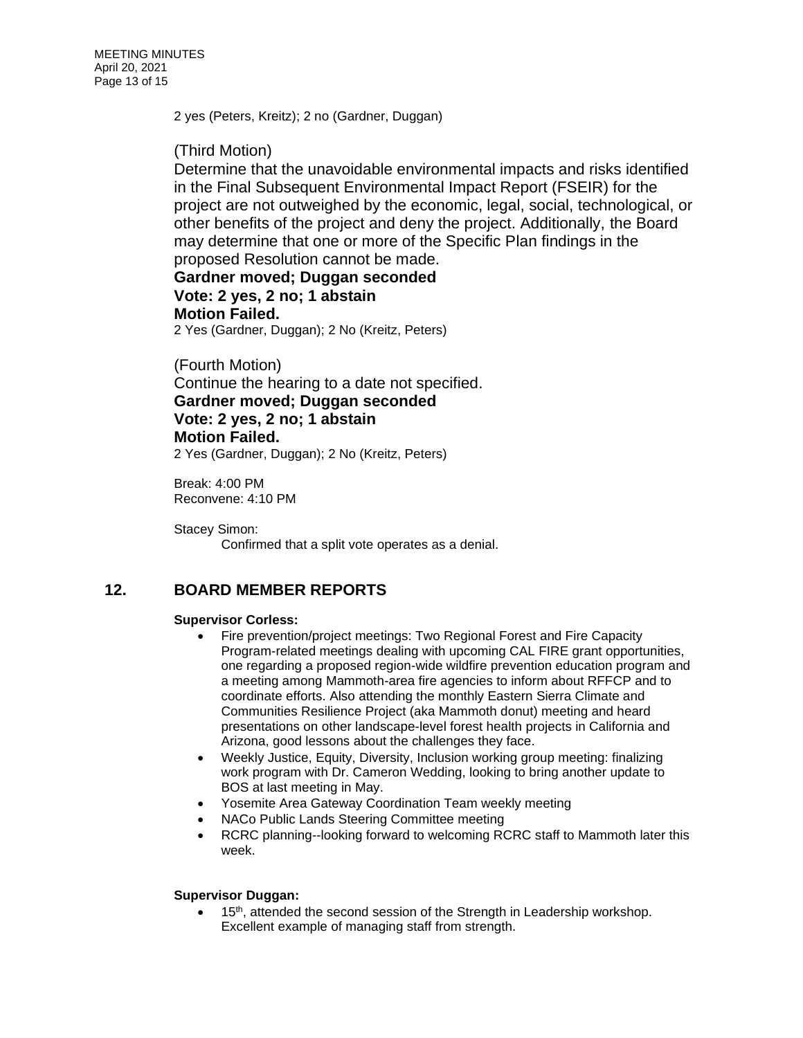2 yes (Peters, Kreitz); 2 no (Gardner, Duggan)

## (Third Motion)

Determine that the unavoidable environmental impacts and risks identified in the Final Subsequent Environmental Impact Report (FSEIR) for the project are not outweighed by the economic, legal, social, technological, or other benefits of the project and deny the project. Additionally, the Board may determine that one or more of the Specific Plan findings in the proposed Resolution cannot be made.

# **Gardner moved; Duggan seconded Vote: 2 yes, 2 no; 1 abstain Motion Failed.**

2 Yes (Gardner, Duggan); 2 No (Kreitz, Peters)

### (Fourth Motion)

Continue the hearing to a date not specified.

**Gardner moved; Duggan seconded Vote: 2 yes, 2 no; 1 abstain Motion Failed.**

2 Yes (Gardner, Duggan); 2 No (Kreitz, Peters)

Break: 4:00 PM Reconvene: 4:10 PM

Stacey Simon: Confirmed that a split vote operates as a denial.

# **12. BOARD MEMBER REPORTS**

### **Supervisor Corless:**

- Fire prevention/project meetings: Two Regional Forest and Fire Capacity Program-related meetings dealing with upcoming CAL FIRE grant opportunities, one regarding a proposed region-wide wildfire prevention education program and a meeting among Mammoth-area fire agencies to inform about RFFCP and to coordinate efforts. Also attending the monthly Eastern Sierra Climate and Communities Resilience Project (aka Mammoth donut) meeting and heard presentations on other landscape-level forest health projects in California and Arizona, good lessons about the challenges they face.
- Weekly Justice, Equity, Diversity, Inclusion working group meeting: finalizing work program with Dr. Cameron Wedding, looking to bring another update to BOS at last meeting in May.
- Yosemite Area Gateway Coordination Team weekly meeting
- NACo Public Lands Steering Committee meeting
- RCRC planning--looking forward to welcoming RCRC staff to Mammoth later this week.

### **Supervisor Duggan:**

• 15<sup>th</sup>, attended the second session of the Strength in Leadership workshop. Excellent example of managing staff from strength.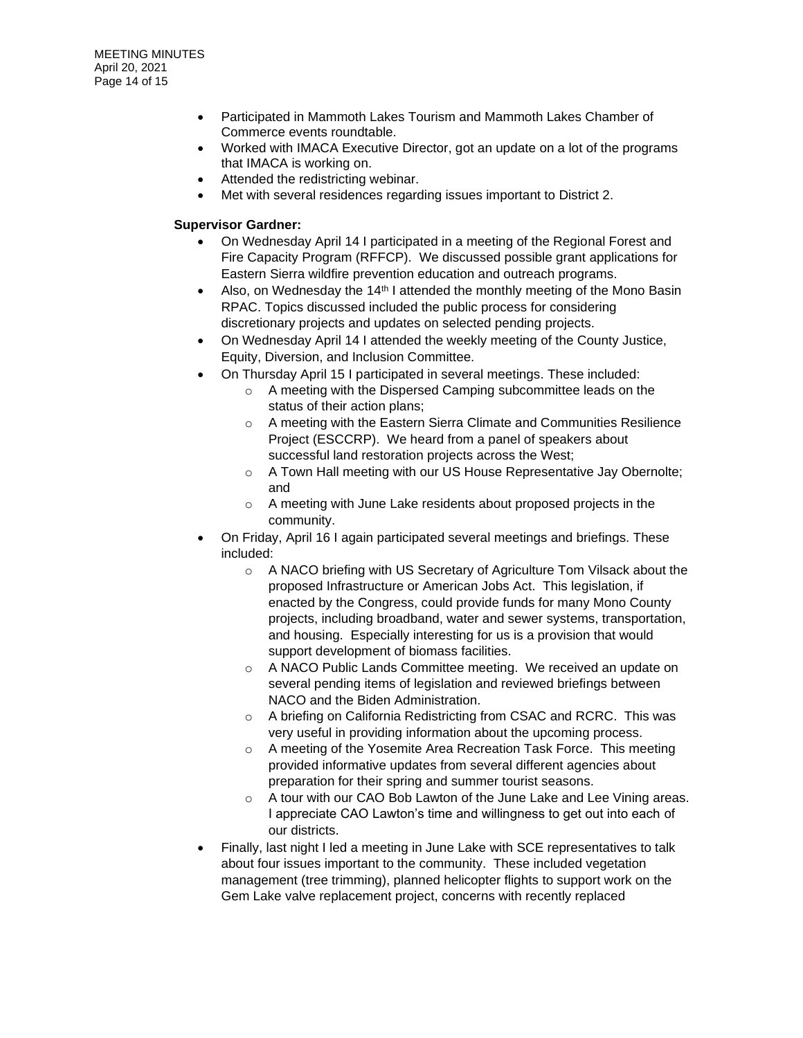- Participated in Mammoth Lakes Tourism and Mammoth Lakes Chamber of Commerce events roundtable.
- Worked with IMACA Executive Director, got an update on a lot of the programs that IMACA is working on.
- Attended the redistricting webinar.
- Met with several residences regarding issues important to District 2.

### **Supervisor Gardner:**

- On Wednesday April 14 I participated in a meeting of the Regional Forest and Fire Capacity Program (RFFCP). We discussed possible grant applications for Eastern Sierra wildfire prevention education and outreach programs.
- Also, on Wednesday the  $14<sup>th</sup>$  I attended the monthly meeting of the Mono Basin RPAC. Topics discussed included the public process for considering discretionary projects and updates on selected pending projects.
- On Wednesday April 14 I attended the weekly meeting of the County Justice, Equity, Diversion, and Inclusion Committee.
- On Thursday April 15 I participated in several meetings. These included:
	- o A meeting with the Dispersed Camping subcommittee leads on the status of their action plans;
	- o A meeting with the Eastern Sierra Climate and Communities Resilience Project (ESCCRP). We heard from a panel of speakers about successful land restoration projects across the West;
	- o A Town Hall meeting with our US House Representative Jay Obernolte; and
	- o A meeting with June Lake residents about proposed projects in the community.
- On Friday, April 16 I again participated several meetings and briefings. These included:
	- o A NACO briefing with US Secretary of Agriculture Tom Vilsack about the proposed Infrastructure or American Jobs Act. This legislation, if enacted by the Congress, could provide funds for many Mono County projects, including broadband, water and sewer systems, transportation, and housing. Especially interesting for us is a provision that would support development of biomass facilities.
	- o A NACO Public Lands Committee meeting. We received an update on several pending items of legislation and reviewed briefings between NACO and the Biden Administration.
	- $\circ$  A briefing on California Redistricting from CSAC and RCRC. This was very useful in providing information about the upcoming process.
	- o A meeting of the Yosemite Area Recreation Task Force. This meeting provided informative updates from several different agencies about preparation for their spring and summer tourist seasons.
	- $\circ$  A tour with our CAO Bob Lawton of the June Lake and Lee Vining areas. I appreciate CAO Lawton's time and willingness to get out into each of our districts.
- Finally, last night I led a meeting in June Lake with SCE representatives to talk about four issues important to the community. These included vegetation management (tree trimming), planned helicopter flights to support work on the Gem Lake valve replacement project, concerns with recently replaced